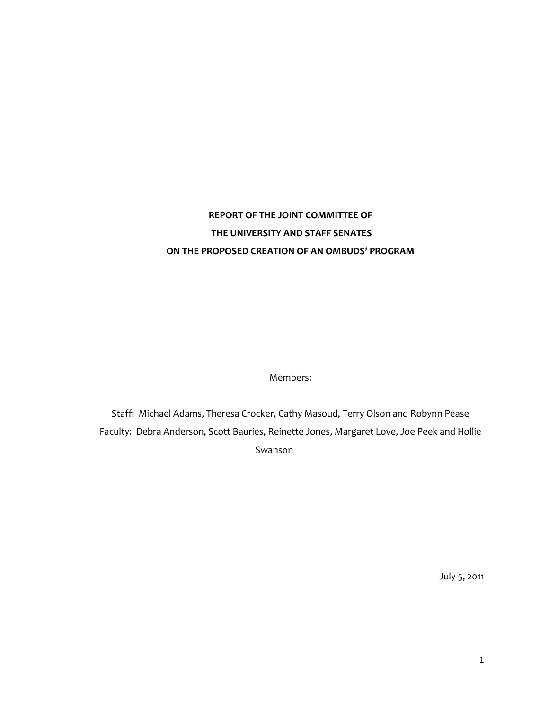# **REPORT OF THE JOINT COMMITTEE OF THE UNIVERSITY AND STAFF SENATES ON THE PROPOSED CREATION OF AN OMBUDS' PROGRAM**

Members:

Staff: Michael Adams, Theresa Crocker, Cathy Masoud, Terry Olson and Robynn Pease Faculty: Debra Anderson, Scott Bauries, Reinette Jones, Margaret Love, Joe Peek and Hollie Swanson

July 5, 2011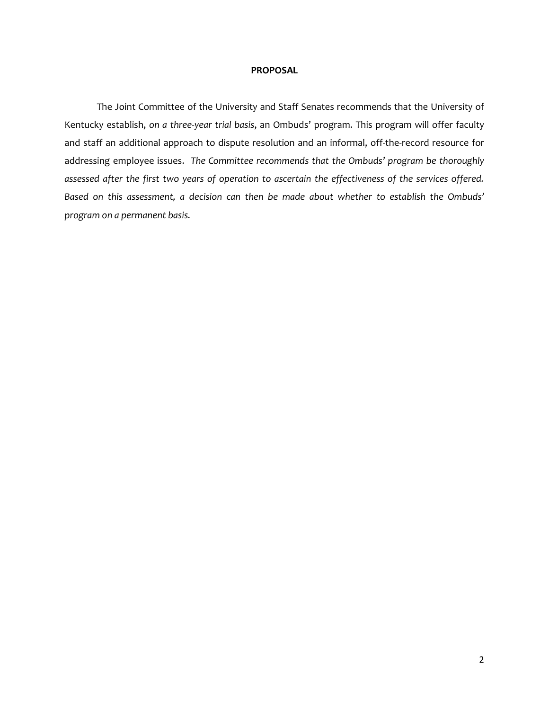## **PROPOSAL**

The Joint Committee of the University and Staff Senates recommends that the University of Kentucky establish, *on a three-year trial basis*, an Ombuds' program. This program will offer faculty and staff an additional approach to dispute resolution and an informal, off-the-record resource for addressing employee issues. *The Committee recommends that the Ombuds' program be thoroughly assessed after the first two years of operation to ascertain the effectiveness of the services offered. Based on this assessment, a decision can then be made about whether to establish the Ombuds' program on a permanent basis.*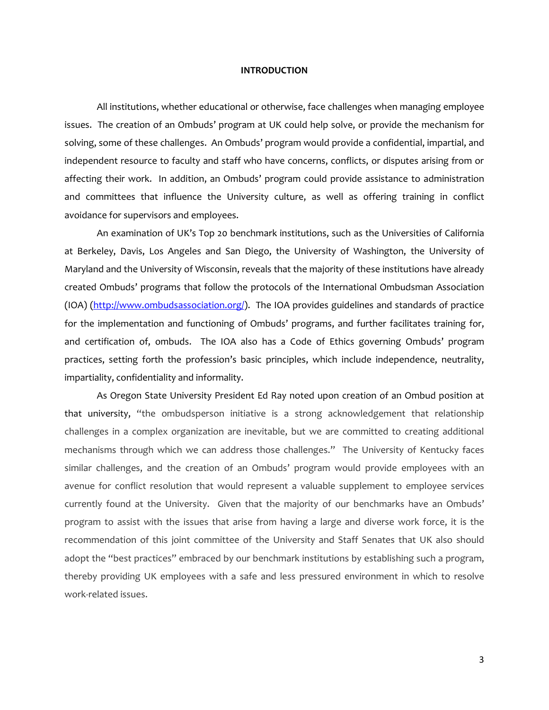#### **INTRODUCTION**

All institutions, whether educational or otherwise, face challenges when managing employee issues. The creation of an Ombuds' program at UK could help solve, or provide the mechanism for solving, some of these challenges. An Ombuds' program would provide a confidential, impartial, and independent resource to faculty and staff who have concerns, conflicts, or disputes arising from or affecting their work. In addition, an Ombuds' program could provide assistance to administration and committees that influence the University culture, as well as offering training in conflict avoidance for supervisors and employees.

An examination of UK's Top 20 benchmark institutions, such as the Universities of California at Berkeley, Davis, Los Angeles and San Diego, the University of Washington, the University of Maryland and the University of Wisconsin, reveals that the majority of these institutions have already created Ombuds' programs that follow the protocols of the International Ombudsman Association (IOA) [\(http://www.ombudsassociation.org/\)](http://www.ombudsassociation.org/). The IOA provides guidelines and standards of practice for the implementation and functioning of Ombuds' programs, and further facilitates training for, and certification of, ombuds. The IOA also has a Code of Ethics governing Ombuds' program practices, setting forth the profession's basic principles, which include independence, neutrality, impartiality, confidentiality and informality.

As Oregon State University President Ed Ray noted upon creation of an Ombud position at that university, "the ombudsperson initiative is a strong acknowledgement that relationship challenges in a complex organization are inevitable, but we are committed to creating additional mechanisms through which we can address those challenges." The University of Kentucky faces similar challenges, and the creation of an Ombuds' program would provide employees with an avenue for conflict resolution that would represent a valuable supplement to employee services currently found at the University. Given that the majority of our benchmarks have an Ombuds' program to assist with the issues that arise from having a large and diverse work force, it is the recommendation of this joint committee of the University and Staff Senates that UK also should adopt the "best practices" embraced by our benchmark institutions by establishing such a program, thereby providing UK employees with a safe and less pressured environment in which to resolve work-related issues.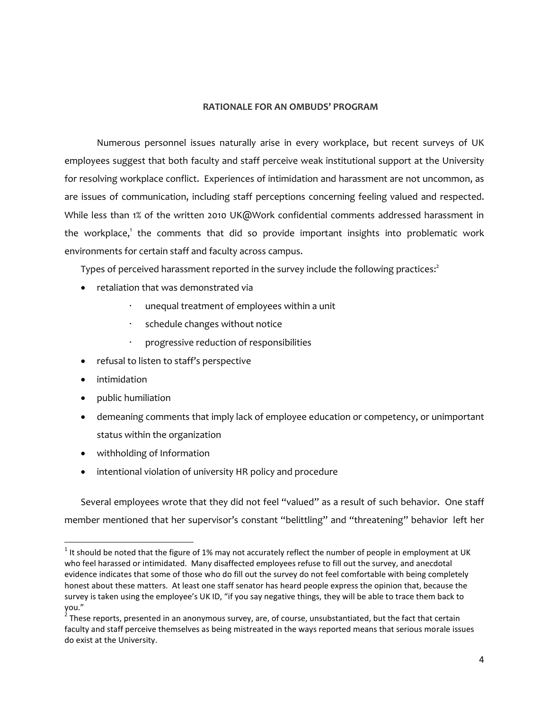## **RATIONALE FOR AN OMBUDS' PROGRAM**

Numerous personnel issues naturally arise in every workplace, but recent surveys of UK employees suggest that both faculty and staff perceive weak institutional support at the University for resolving workplace conflict. Experiences of intimidation and harassment are not uncommon, as are issues of communication, including staff perceptions concerning feeling valued and respected. While less than 1% of the written 2010 UK@Work confidential comments addressed harassment in the workplace,<sup>1</sup> the comments that did so provide important insights into problematic work environments for certain staff and faculty across campus.

Types of perceived harassment reported in the survey include the following practices: 2

- retaliation that was demonstrated via
	- unequal treatment of employees within a unit
	- schedule changes without notice
	- progressive reduction of responsibilities
- refusal to listen to staff's perspective
- **•** intimidation

 $\overline{\phantom{a}}$ 

- public humiliation
- demeaning comments that imply lack of employee education or competency, or unimportant status within the organization
- withholding of Information
- intentional violation of university HR policy and procedure

Several employees wrote that they did not feel "valued" as a result of such behavior. One staff member mentioned that her supervisor's constant "belittling" and "threatening" behavior left her

 $1$  It should be noted that the figure of 1% may not accurately reflect the number of people in employment at UK who feel harassed or intimidated. Many disaffected employees refuse to fill out the survey, and anecdotal evidence indicates that some of those who do fill out the survey do not feel comfortable with being completely honest about these matters. At least one staff senator has heard people express the opinion that, because the survey is taken using the employee's UK ID, "if you say negative things, they will be able to trace them back to you."

 $^2$  These reports, presented in an anonymous survey, are, of course, unsubstantiated, but the fact that certain faculty and staff perceive themselves as being mistreated in the ways reported means that serious morale issues do exist at the University.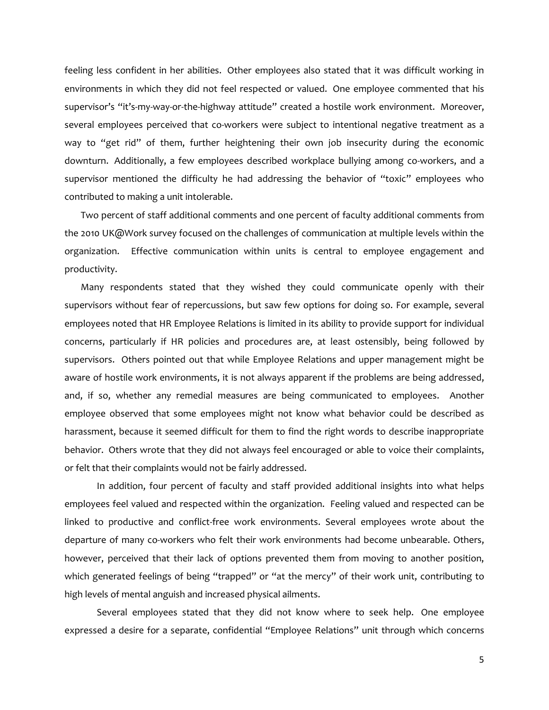feeling less confident in her abilities. Other employees also stated that it was difficult working in environments in which they did not feel respected or valued. One employee commented that his supervisor's "it's-my-way-or-the-highway attitude" created a hostile work environment. Moreover, several employees perceived that co-workers were subject to intentional negative treatment as a way to "get rid" of them, further heightening their own job insecurity during the economic downturn. Additionally, a few employees described workplace bullying among co-workers, and a supervisor mentioned the difficulty he had addressing the behavior of "toxic" employees who contributed to making a unit intolerable.

Two percent of staff additional comments and one percent of faculty additional comments from the 2010 UK@Work survey focused on the challenges of communication at multiple levels within the organization. Effective communication within units is central to employee engagement and productivity.

Many respondents stated that they wished they could communicate openly with their supervisors without fear of repercussions, but saw few options for doing so. For example, several employees noted that HR Employee Relations is limited in its ability to provide support for individual concerns, particularly if HR policies and procedures are, at least ostensibly, being followed by supervisors. Others pointed out that while Employee Relations and upper management might be aware of hostile work environments, it is not always apparent if the problems are being addressed, and, if so, whether any remedial measures are being communicated to employees. Another employee observed that some employees might not know what behavior could be described as harassment, because it seemed difficult for them to find the right words to describe inappropriate behavior. Others wrote that they did not always feel encouraged or able to voice their complaints, or felt that their complaints would not be fairly addressed.

In addition, four percent of faculty and staff provided additional insights into what helps employees feel valued and respected within the organization. Feeling valued and respected can be linked to productive and conflict-free work environments. Several employees wrote about the departure of many co-workers who felt their work environments had become unbearable. Others, however, perceived that their lack of options prevented them from moving to another position, which generated feelings of being "trapped" or "at the mercy" of their work unit, contributing to high levels of mental anguish and increased physical ailments.

Several employees stated that they did not know where to seek help. One employee expressed a desire for a separate, confidential "Employee Relations" unit through which concerns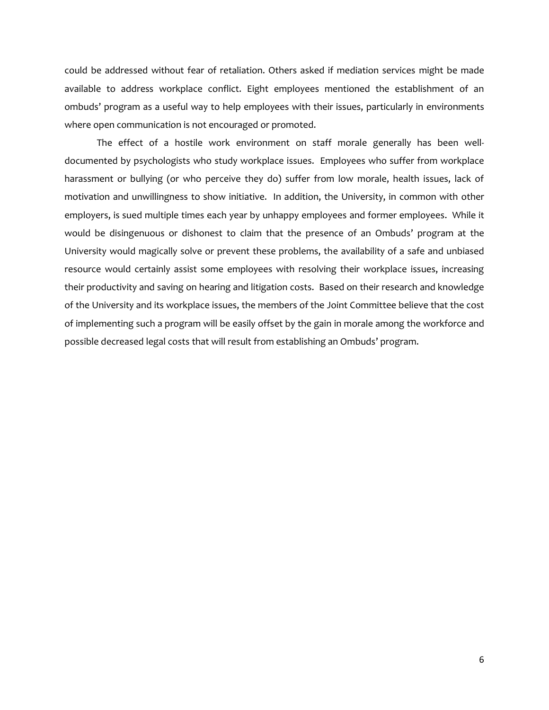could be addressed without fear of retaliation. Others asked if mediation services might be made available to address workplace conflict. Eight employees mentioned the establishment of an ombuds' program as a useful way to help employees with their issues, particularly in environments where open communication is not encouraged or promoted.

The effect of a hostile work environment on staff morale generally has been welldocumented by psychologists who study workplace issues. Employees who suffer from workplace harassment or bullying (or who perceive they do) suffer from low morale, health issues, lack of motivation and unwillingness to show initiative. In addition, the University, in common with other employers, is sued multiple times each year by unhappy employees and former employees. While it would be disingenuous or dishonest to claim that the presence of an Ombuds' program at the University would magically solve or prevent these problems, the availability of a safe and unbiased resource would certainly assist some employees with resolving their workplace issues, increasing their productivity and saving on hearing and litigation costs. Based on their research and knowledge of the University and its workplace issues, the members of the Joint Committee believe that the cost of implementing such a program will be easily offset by the gain in morale among the workforce and possible decreased legal costs that will result from establishing an Ombuds' program.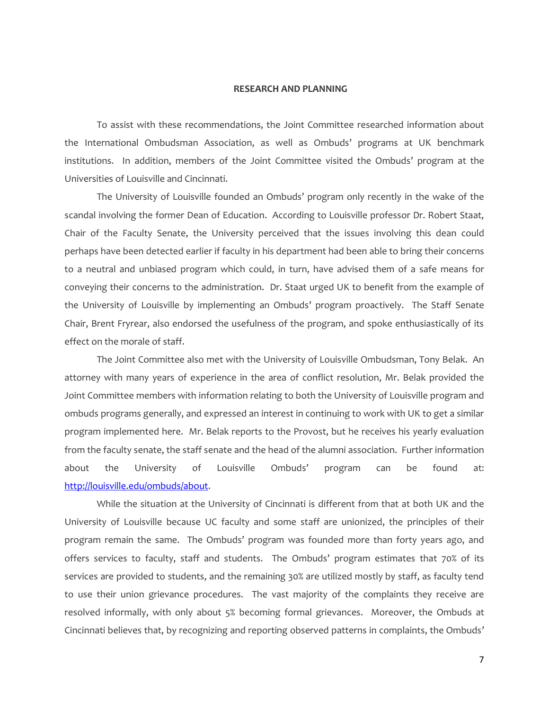# **RESEARCH AND PLANNING**

To assist with these recommendations, the Joint Committee researched information about the International Ombudsman Association, as well as Ombuds' programs at UK benchmark institutions. In addition, members of the Joint Committee visited the Ombuds' program at the Universities of Louisville and Cincinnati.

The University of Louisville founded an Ombuds' program only recently in the wake of the scandal involving the former Dean of Education. According to Louisville professor Dr. Robert Staat, Chair of the Faculty Senate, the University perceived that the issues involving this dean could perhaps have been detected earlier if faculty in his department had been able to bring their concerns to a neutral and unbiased program which could, in turn, have advised them of a safe means for conveying their concerns to the administration. Dr. Staat urged UK to benefit from the example of the University of Louisville by implementing an Ombuds' program proactively. The Staff Senate Chair, Brent Fryrear, also endorsed the usefulness of the program, and spoke enthusiastically of its effect on the morale of staff.

The Joint Committee also met with the University of Louisville Ombudsman, Tony Belak. An attorney with many years of experience in the area of conflict resolution, Mr. Belak provided the Joint Committee members with information relating to both the University of Louisville program and ombuds programs generally, and expressed an interest in continuing to work with UK to get a similar program implemented here. Mr. Belak reports to the Provost, but he receives his yearly evaluation from the faculty senate, the staff senate and the head of the alumni association. Further information about the University of Louisville Ombuds' program can be found at: [http://louisville.edu/ombuds/about.](http://louisville.edu/ombuds/about)

While the situation at the University of Cincinnati is different from that at both UK and the University of Louisville because UC faculty and some staff are unionized, the principles of their program remain the same. The Ombuds' program was founded more than forty years ago, and offers services to faculty, staff and students. The Ombuds' program estimates that 70% of its services are provided to students, and the remaining 30% are utilized mostly by staff, as faculty tend to use their union grievance procedures. The vast majority of the complaints they receive are resolved informally, with only about 5% becoming formal grievances. Moreover, the Ombuds at Cincinnati believes that, by recognizing and reporting observed patterns in complaints, the Ombuds'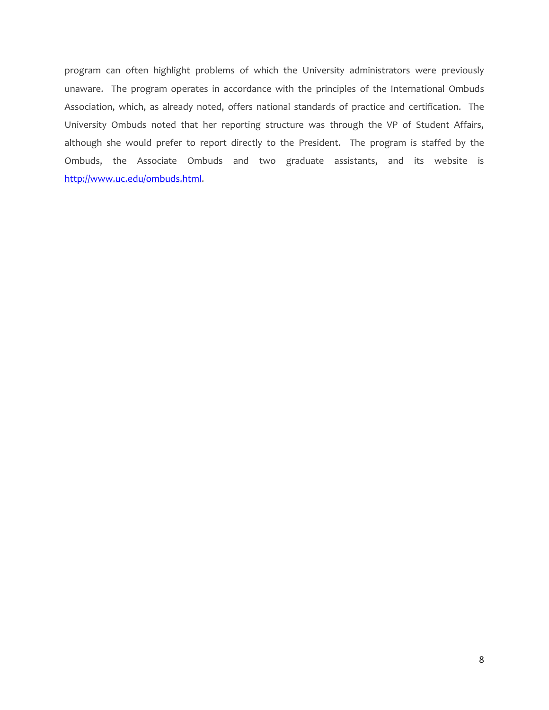program can often highlight problems of which the University administrators were previously unaware. The program operates in accordance with the principles of the International Ombuds Association, which, as already noted, offers national standards of practice and certification. The University Ombuds noted that her reporting structure was through the VP of Student Affairs, although she would prefer to report directly to the President. The program is staffed by the Ombuds, the Associate Ombuds and two graduate assistants, and its website is [http://www.uc.edu/ombuds.html.](http://www.uc.edu/ombuds.html)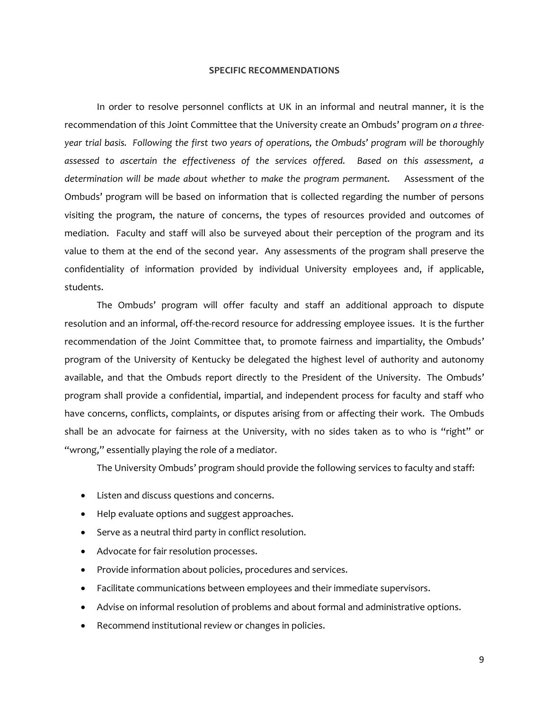#### **SPECIFIC RECOMMENDATIONS**

In order to resolve personnel conflicts at UK in an informal and neutral manner, it is the recommendation of this Joint Committee that the University create an Ombuds' program *on a threeyear trial basis. Following the first two years of operations, the Ombuds' program will be thoroughly assessed to ascertain the effectiveness of the services offered. Based on this assessment, a determination will be made about whether to make the program permanent.* Assessment of the Ombuds' program will be based on information that is collected regarding the number of persons visiting the program, the nature of concerns, the types of resources provided and outcomes of mediation. Faculty and staff will also be surveyed about their perception of the program and its value to them at the end of the second year. Any assessments of the program shall preserve the confidentiality of information provided by individual University employees and, if applicable, students.

The Ombuds' program will offer faculty and staff an additional approach to dispute resolution and an informal, off-the-record resource for addressing employee issues. It is the further recommendation of the Joint Committee that, to promote fairness and impartiality, the Ombuds' program of the University of Kentucky be delegated the highest level of authority and autonomy available, and that the Ombuds report directly to the President of the University. The Ombuds' program shall provide a confidential, impartial, and independent process for faculty and staff who have concerns, conflicts, complaints, or disputes arising from or affecting their work. The Ombuds shall be an advocate for fairness at the University, with no sides taken as to who is "right" or "wrong," essentially playing the role of a mediator.

The University Ombuds' program should provide the following services to faculty and staff:

- Listen and discuss questions and concerns.
- Help evaluate options and suggest approaches.
- Serve as a neutral third party in conflict resolution.
- Advocate for fair resolution processes.
- Provide information about policies, procedures and services.
- Facilitate communications between employees and their immediate supervisors.
- Advise on informal resolution of problems and about formal and administrative options.
- Recommend institutional review or changes in policies.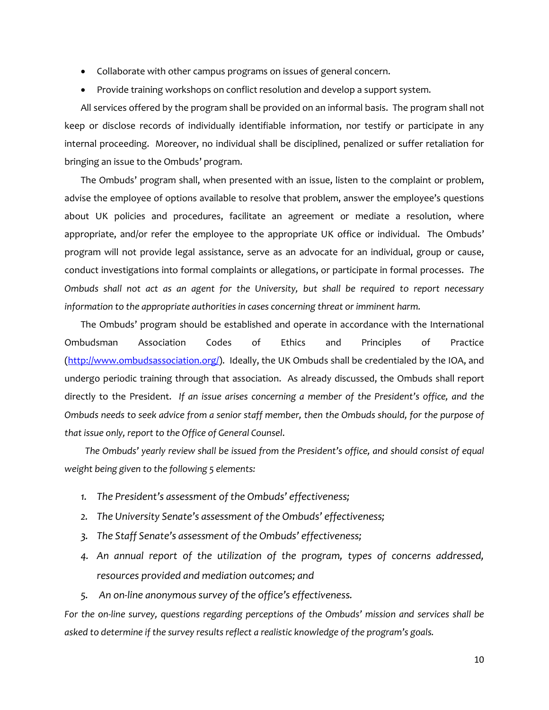- Collaborate with other campus programs on issues of general concern.
- Provide training workshops on conflict resolution and develop a support system.

All services offered by the program shall be provided on an informal basis. The program shall not keep or disclose records of individually identifiable information, nor testify or participate in any internal proceeding. Moreover, no individual shall be disciplined, penalized or suffer retaliation for bringing an issue to the Ombuds' program.

The Ombuds' program shall, when presented with an issue, listen to the complaint or problem, advise the employee of options available to resolve that problem, answer the employee's questions about UK policies and procedures, facilitate an agreement or mediate a resolution, where appropriate, and/or refer the employee to the appropriate UK office or individual. The Ombuds' program will not provide legal assistance, serve as an advocate for an individual, group or cause, conduct investigations into formal complaints or allegations, or participate in formal processes. *The Ombuds shall not act as an agent for the University, but shall be required to report necessary information to the appropriate authorities in cases concerning threat or imminent harm.*

The Ombuds' program should be established and operate in accordance with the International Ombudsman Association Codes of Ethics and Principles of Practice [\(http://www.ombudsassociation.org/\)](http://www.ombudsassociation.org/). Ideally, the UK Ombuds shall be credentialed by the IOA, and undergo periodic training through that association. As already discussed, the Ombuds shall report directly to the President. *If an issue arises concerning a member of the President's office, and the Ombuds needs to seek advice from a senior staff member, then the Ombuds should, for the purpose of that issue only, report to the Office of General Counsel*.

 *The Ombuds' yearly review shall be issued from the President's office, and should consist of equal weight being given to the following 5 elements:*

- *1. The President's assessment of the Ombuds' effectiveness;*
- *2. The University Senate's assessment of the Ombuds' effectiveness;*
- *3. The Staff Senate's assessment of the Ombuds' effectiveness;*
- *4. An annual report of the utilization of the program, types of concerns addressed, resources provided and mediation outcomes; and*
- *5. An on-line anonymous survey of the office's effectiveness.*

*For the on-line survey, questions regarding perceptions of the Ombuds' mission and services shall be asked to determine if the survey results reflect a realistic knowledge of the program's goals.*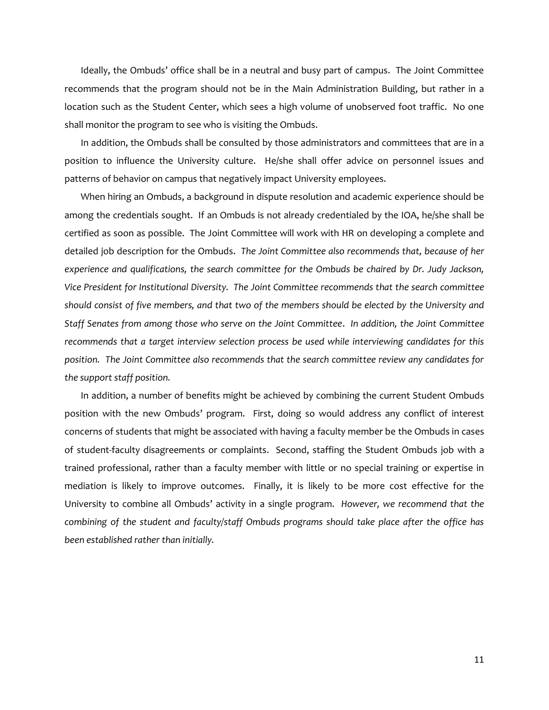Ideally, the Ombuds' office shall be in a neutral and busy part of campus. The Joint Committee recommends that the program should not be in the Main Administration Building, but rather in a location such as the Student Center, which sees a high volume of unobserved foot traffic. No one shall monitor the program to see who is visiting the Ombuds.

In addition, the Ombuds shall be consulted by those administrators and committees that are in a position to influence the University culture. He/she shall offer advice on personnel issues and patterns of behavior on campus that negatively impact University employees.

When hiring an Ombuds, a background in dispute resolution and academic experience should be among the credentials sought. If an Ombuds is not already credentialed by the IOA, he/she shall be certified as soon as possible. The Joint Committee will work with HR on developing a complete and detailed job description for the Ombuds. *The Joint Committee also recommends that, because of her experience and qualifications, the search committee for the Ombuds be chaired by Dr. Judy Jackson, Vice President for Institutional Diversity. The Joint Committee recommends that the search committee should consist of five members, and that two of the members should be elected by the University and Staff Senates from among those who serve on the Joint Committee*. *In addition, the Joint Committee recommends that a target interview selection process be used while interviewing candidates for this position. The Joint Committee also recommends that the search committee review any candidates for the support staff position.*

In addition, a number of benefits might be achieved by combining the current Student Ombuds position with the new Ombuds' program. First, doing so would address any conflict of interest concerns of students that might be associated with having a faculty member be the Ombuds in cases of student-faculty disagreements or complaints. Second, staffing the Student Ombuds job with a trained professional, rather than a faculty member with little or no special training or expertise in mediation is likely to improve outcomes. Finally, it is likely to be more cost effective for the University to combine all Ombuds' activity in a single program. *However, we recommend that the combining of the student and faculty/staff Ombuds programs should take place after the office has been established rather than initially.*